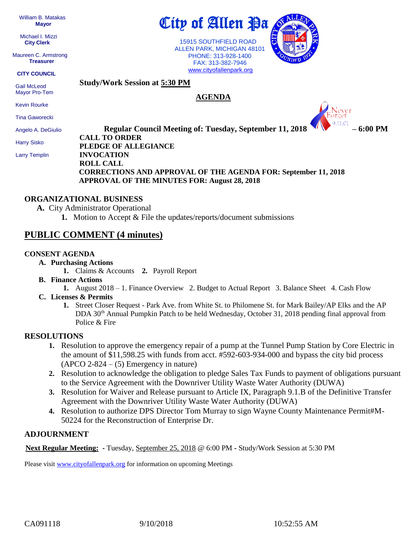William B. Matakas  **Mayor**

 Michael I. Mizzi **City Clerk**

Maureen C. Armstrong **Treasurer**

**CITY COUNCIL**

 Gail McLeod Mayor Pro-Tem

Kevin Rourke

Tina Gaworecki

Angelo A. DeGiulio

Harry Sisko

Larry Templin

City of Allen Pa

 15915 SOUTHFIELD ROAD ALLEN PARK, MICHIGAN 48101 PHONE: 313-928-1400 FAX: 313-382-7946 [www.cityofallenpark.org](http://www.cityofallenpark.org/)

**AGENDA**



**Regular Council Meeting of: Tuesday, September 11, 2018 – 6:00 PM CALL TO ORDER PLEDGE OF ALLEGIANCE INVOCATION ROLL CALL CORRECTIONS AND APPROVAL OF THE AGENDA FOR: September 11, 2018 APPROVAL OF THE MINUTES FOR: August 28, 2018** 

#### **ORGANIZATIONAL BUSINESS**

**A.** City Administrator Operational

**1.** Motion to Accept & File the updates/reports/document submissions

## **PUBLIC COMMENT (4 minutes)**

#### **CONSENT AGENDA**

- **A. Purchasing Actions**
	- **1.** Claims & Accounts **2.** Payroll Report

**Study/Work Session at 5:30 PM**

- **B. Finance Actions**
	- **1.** August 2018 1. Finance Overview 2. Budget to Actual Report 3. Balance Sheet 4. Cash Flow
- **C. Licenses & Permits**
	- **1.** Street Closer Request Park Ave. from White St. to Philomene St. for Mark Bailey/AP Elks and the AP DDA 30<sup>th</sup> Annual Pumpkin Patch to be held Wednesday, October 31, 2018 pending final approval from Police & Fire

### **RESOLUTIONS**

- **1.** Resolution to approve the emergency repair of a pump at the Tunnel Pump Station by Core Electric in the amount of \$11,598.25 with funds from acct. #592-603-934-000 and bypass the city bid process  $(APCO 2-824 - (5)$  Emergency in nature)
- **2.** Resolution to acknowledge the obligation to pledge Sales Tax Funds to payment of obligations pursuant to the Service Agreement with the Downriver Utility Waste Water Authority (DUWA)
- **3.** Resolution for Waiver and Release pursuant to Article IX, Paragraph 9.1.B of the Definitive Transfer Agreement with the Downriver Utility Waste Water Authority (DUWA)
- **4.** Resolution to authorize DPS Director Tom Murray to sign Wayne County Maintenance Permit#M-50224 for the Reconstruction of Enterprise Dr.

### **ADJOURNMENT**

**Next Regular Meeting: -** Tuesday, September 25, 2018 @ 6:00 PM **-** Study/Work Session at 5:30 PM

Please visit [www.cityofallenpark.org](http://www.cityofallenpark.org/) for information on upcoming Meetings